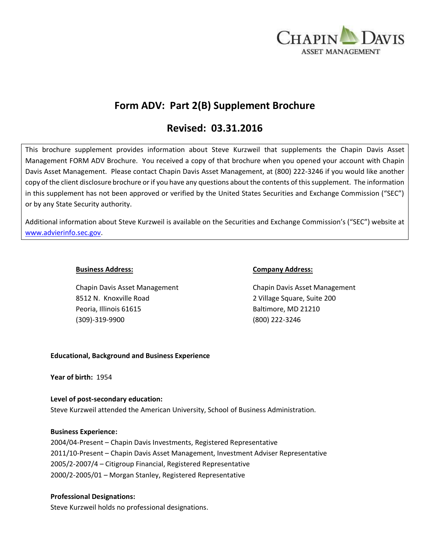

# **Form ADV: Part 2(B) Supplement Brochure**

# **Revised: 03.31.2016**

This brochure supplement provides information about Steve Kurzweil that supplements the Chapin Davis Asset Management FORM ADV Brochure. You received a copy of that brochure when you opened your account with Chapin Davis Asset Management. Please contact Chapin Davis Asset Management, at (800) 222-3246 if you would like another copy of the client disclosure brochure or if you have any questions about the contents of this supplement. The information in this supplement has not been approved or verified by the United States Securities and Exchange Commission ("SEC") or by any State Security authority.

Additional information about Steve Kurzweil is available on the Securities and Exchange Commission's ("SEC") website at [www.advierinfo.sec.gov.](http://www.advierinfo.sec.gov/)

8512 N. Knoxville Road 2 Village Square, Suite 200 Peoria, Illinois 61615 Baltimore, MD 21210 (309)-319-9900 (800) 222-3246

### **Business Address: Company Address:**

Chapin Davis Asset Management Chapin Davis Asset Management

# **Educational, Background and Business Experience**

**Year of birth:** 1954

# **Level of post-secondary education:**  Steve Kurzweil attended the American University, School of Business Administration.

**Business Experience:** 

2004/04-Present – Chapin Davis Investments, Registered Representative 2011/10-Present – Chapin Davis Asset Management, Investment Adviser Representative 2005/2-2007/4 – Citigroup Financial, Registered Representative 2000/2-2005/01 – Morgan Stanley, Registered Representative

# **Professional Designations:**

Steve Kurzweil holds no professional designations.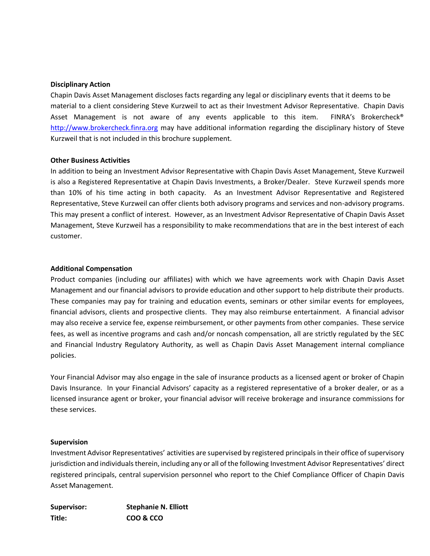#### **Disciplinary Action**

Chapin Davis Asset Management discloses facts regarding any legal or disciplinary events that it deems to be material to a client considering Steve Kurzweil to act as their Investment Advisor Representative. Chapin Davis Asset Management is not aware of any events applicable to this item. FINRA's Brokercheck® [http://www.brokercheck.finra.org](http://www.brokercheck.finra.org/) may have additional information regarding the disciplinary history of Steve Kurzweil that is not included in this brochure supplement.

### **Other Business Activities**

In addition to being an Investment Advisor Representative with Chapin Davis Asset Management, Steve Kurzweil is also a Registered Representative at Chapin Davis Investments, a Broker/Dealer. Steve Kurzweil spends more than 10% of his time acting in both capacity. As an Investment Advisor Representative and Registered Representative, Steve Kurzweil can offer clients both advisory programs and services and non-advisory programs. This may present a conflict of interest. However, as an Investment Advisor Representative of Chapin Davis Asset Management, Steve Kurzweil has a responsibility to make recommendations that are in the best interest of each customer.

### **Additional Compensation**

Product companies (including our affiliates) with which we have agreements work with Chapin Davis Asset Management and our financial advisors to provide education and other support to help distribute their products. These companies may pay for training and education events, seminars or other similar events for employees, financial advisors, clients and prospective clients. They may also reimburse entertainment. A financial advisor may also receive a service fee, expense reimbursement, or other payments from other companies. These service fees, as well as incentive programs and cash and/or noncash compensation, all are strictly regulated by the SEC and Financial Industry Regulatory Authority, as well as Chapin Davis Asset Management internal compliance policies.

Your Financial Advisor may also engage in the sale of insurance products as a licensed agent or broker of Chapin Davis Insurance. In your Financial Advisors' capacity as a registered representative of a broker dealer, or as a licensed insurance agent or broker, your financial advisor will receive brokerage and insurance commissions for these services.

#### **Supervision**

Investment Advisor Representatives' activities are supervised by registered principals in their office of supervisory jurisdiction and individuals therein, including any or all of the following Investment Advisor Representatives' direct registered principals, central supervision personnel who report to the Chief Compliance Officer of Chapin Davis Asset Management.

| Supervisor: | <b>Stephanie N. Elliott</b> |
|-------------|-----------------------------|
| Title:      | COO & CCO                   |